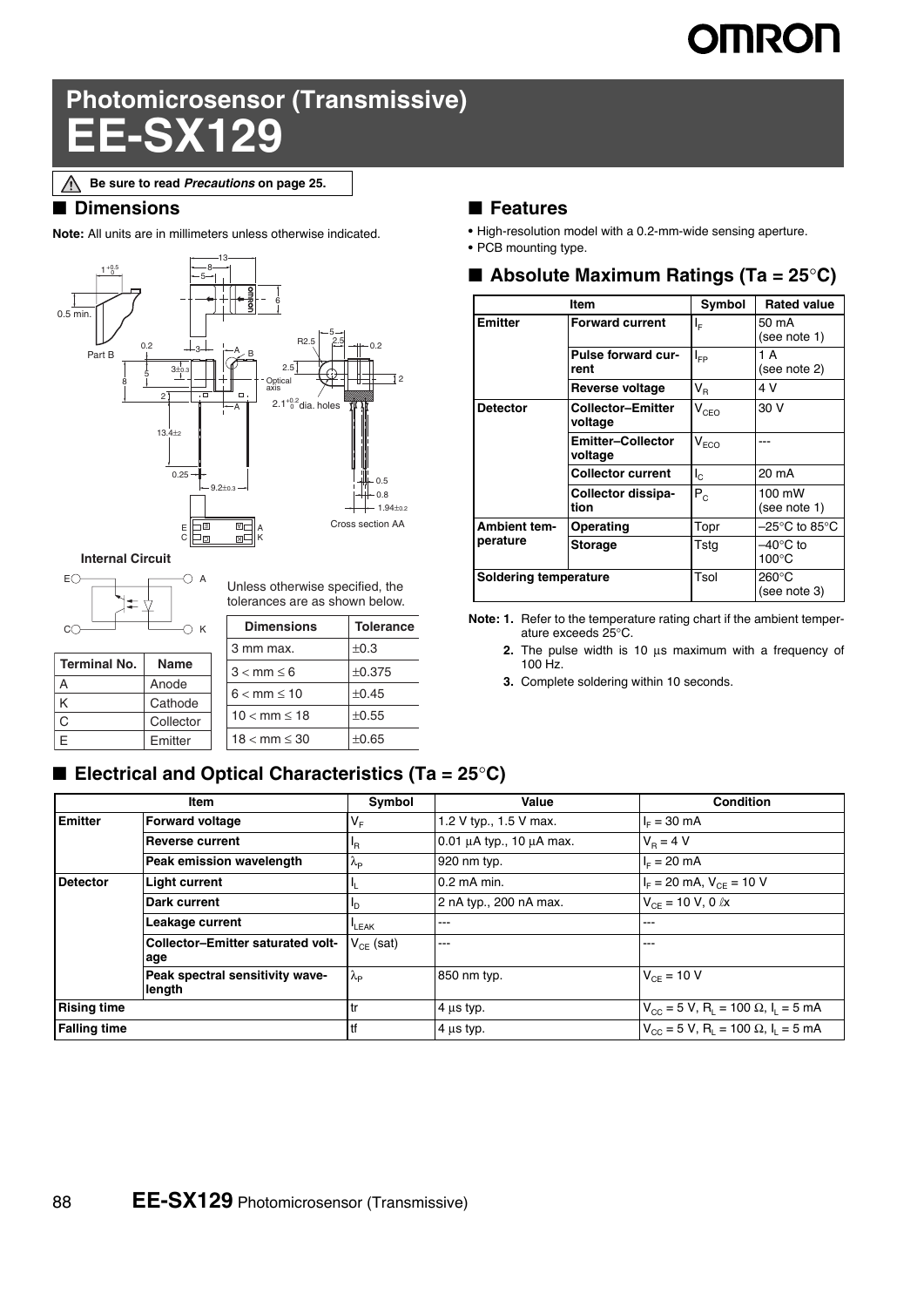# **IMRON**

# **Photomicrosensor (Transmissive) EE-SX129**

### ■ **Dimensions**

**Note:** All units are in millimeters unless otherwise indicated.



**Internal Circuit**



**Terminal No. | Name** A Anode K Cathode C Collector E **Emitter** 

Unless otherwise specified, the tolerances are as shown below.

| <b>Dimensions</b>        | <b>Tolerance</b> |
|--------------------------|------------------|
| 3 mm max.                | $\pm 0.3$        |
| $3 < mm \leq 6$          | ±0.375           |
| $6 < mm \leq 10$         | ±0.45            |
| $10 < \text{mm} \le 18$  | ±0.55            |
| $18 < \text{mm} \leq 30$ | ±0.65            |

## ■ **Electrical and Optical Characteristics (Ta = 25°C)**

#### **Item Symbol Value Condition Emitter** Forward voltage  $V_F$  1.2 V typ., 1.5 V max.  $I_F = 30$  mA **Reverse current**  $I_R$  0.01 μA typ., 10 μA max.  $V_R = 4 V$ **Peak emission wavelength**  $\lambda_{\rm P}$  920 nm typ. IF = 20 mA **Detector** Light current  $I_L$  0.2 mA min.  $I_F$  = 20 mA,  $V_{CE}$  = 10 V **Dark current**  $\begin{array}{|l|l|}\n\hline\nI_D\n\end{array}$  2 nA typ., 200 nA max.  $\begin{array}{|l|l|}\nV_{CE} = 10 \text{ V}, 0 \text{ kx}\n\end{array}$ Leakage current  $\left| \begin{matrix} \mathbf{I}_{\text{LEAK}} & & \mathbf{I}_{\text{LEAK}} \end{matrix} \right|$ **Collector–Emitter saturated voltage**  $V_{CE}$  (sat)  $\Big|$ ---  $\Big|$ ---**Peak spectral sensitivity wavelength**  $\lambda_{\rm P}$  850 nm typ.  $V_{\rm CE} = 10 \text{ V}$ **Rising time** tr tr 4 μs typ. V<sub>CC</sub> = 5 V, R<sub>L</sub> = 100 Ω, I<sub>L</sub> = 5 mA **Falling time** the state of the term of  $\begin{array}{ccc} \text{4} & \text{4} \text{ }\mu\text{s} & \text{4} \text{ }\mu\text{s} & \text{4} \text{ }\mu\text{s} & \text{4} \text{ }\mu\text{ s} & \text{4} \text{ }\mu\text{ s} & \text{4} \text{ }\mu\text{ s} & \text{4} \text{ }\mu\text{ s} & \text{4} \text{ }\mu\text{s} & \text{4} \text{ }\mu\text{s} & \text{4} \text{ }\mu\text{s} & \text{4} \text{ }\mu\text{s$

### ■ **Features**

- **•** High-resolution model with a 0.2-mm-wide sensing aperture.
- **•** PCB mounting type.

### ■ **Absolute Maximum Ratings (Ta = 25<sup>°</sup>C)**

|                                 | Item                                | Symbol                      | <b>Rated value</b>                    |
|---------------------------------|-------------------------------------|-----------------------------|---------------------------------------|
| <b>Emitter</b>                  | <b>Forward current</b>              | ΙF                          | 50 mA<br>(see note 1)                 |
|                                 | Pulse forward cur-<br>rent          | l <sub>FP</sub>             | 1 A<br>(see note 2)                   |
|                                 | <b>Reverse voltage</b>              | $V_{R}$                     | 4 V                                   |
| <b>Detector</b>                 | Collector-Emitter<br>voltage        | $V_{CEO}$                   | 30 V                                  |
|                                 | <b>Emitter-Collector</b><br>voltage | $\mathsf{V}_{\mathsf{ECO}}$ |                                       |
|                                 | <b>Collector current</b>            | ı.                          | 20 mA                                 |
|                                 | Collector dissipa-<br>tion          | $P_{c}$                     | 100 mW<br>(see note 1)                |
| <b>Ambient tem-</b><br>perature | Operating                           | Topr                        | –25°C to 85°C                         |
|                                 | <b>Storage</b>                      | Tsta                        | $-40^{\circ}$ C to<br>$100^{\circ}$ C |
| <b>Soldering temperature</b>    |                                     | Tsol                        | $260^{\circ}$ C<br>(see note 3)       |

**Note: 1.** Refer to the temperature rating chart if the ambient temperature exceeds 25°C.

**2.** The pulse width is 10 μs maximum with a frequency of 100 Hz.

**3.** Complete soldering within 10 seconds.

**Be sure to read** *Precautions* **on page 25.**∧